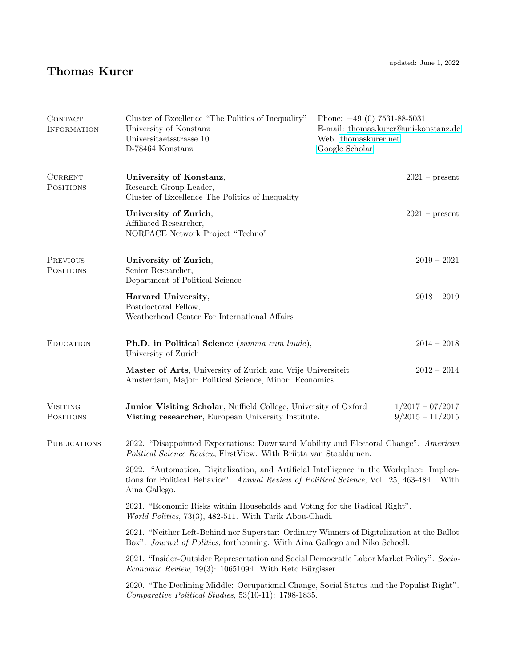| CONTACT<br><b>INFORMATION</b>       | Cluster of Excellence "The Politics of Inequality"<br>University of Konstanz<br>Universita<br>etsstrasse 10 $\,$<br>D-78464 Konstanz                                                                    | Phone: $+49(0)$ 7531-88-5031<br>E-mail: thomas.kurer@uni-konstanz.de<br>Web: thomaskurer.net<br>Google Scholar |  |
|-------------------------------------|---------------------------------------------------------------------------------------------------------------------------------------------------------------------------------------------------------|----------------------------------------------------------------------------------------------------------------|--|
| <b>CURRENT</b><br><b>POSITIONS</b>  | University of Konstanz,<br>Research Group Leader,<br>Cluster of Excellence The Politics of Inequality                                                                                                   | $2021$ – present                                                                                               |  |
|                                     | University of Zurich,<br>Affiliated Researcher,<br>NORFACE Network Project "Techno"                                                                                                                     | $2021$ – present                                                                                               |  |
| <b>PREVIOUS</b><br><b>POSITIONS</b> | University of Zurich,<br>Senior Researcher,<br>Department of Political Science                                                                                                                          | $2019 - 2021$                                                                                                  |  |
|                                     | Harvard University,<br>Postdoctoral Fellow,<br>Weatherhead Center For International Affairs                                                                                                             | $2018 - 2019$                                                                                                  |  |
| <b>EDUCATION</b>                    | Ph.D. in Political Science (summa cum laude),<br>University of Zurich                                                                                                                                   | $2014 - 2018$                                                                                                  |  |
|                                     | Master of Arts, University of Zurich and Vrije Universiteit<br>Amsterdam, Major: Political Science, Minor: Economics                                                                                    | $2012 - 2014$                                                                                                  |  |
| <b>VISITING</b><br><b>POSITIONS</b> | Junior Visiting Scholar, Nuffield College, University of Oxford<br>Visting researcher, European University Institute.                                                                                   | $1/2017 - 07/2017$<br>$9/2015 - 11/2015$                                                                       |  |
| <b>PUBLICATIONS</b>                 | 2022. "Disappointed Expectations: Downward Mobility and Electoral Change". American<br>Political Science Review, FirstView. With Briitta van Staalduinen.                                               |                                                                                                                |  |
|                                     | 2022. "Automation, Digitalization, and Artificial Intelligence in the Workplace: Implica-<br>tions for Political Behavior". Annual Review of Political Science, Vol. 25, 463-484. With<br>Aina Gallego. |                                                                                                                |  |
|                                     | 2021. "Economic Risks within Households and Voting for the Radical Right".<br>World Politics, 73(3), 482-511. With Tarik Abou-Chadi.                                                                    |                                                                                                                |  |
|                                     | 2021. "Neither Left-Behind nor Superstar: Ordinary Winners of Digitalization at the Ballot<br>Box". Journal of Politics, forthcoming. With Aina Gallego and Niko Schoell.                               |                                                                                                                |  |
|                                     | 2021. "Insider-Outsider Representation and Social Democratic Labor Market Policy". Socio-<br><i>Economic Review</i> , $19(3)$ : 10651094. With Reto Bürgisser.                                          |                                                                                                                |  |
|                                     | 2020. "The Declining Middle: Occupational Change, Social Status and the Populist Right".<br>Comparative Political Studies, 53(10-11): 1798-1835.                                                        |                                                                                                                |  |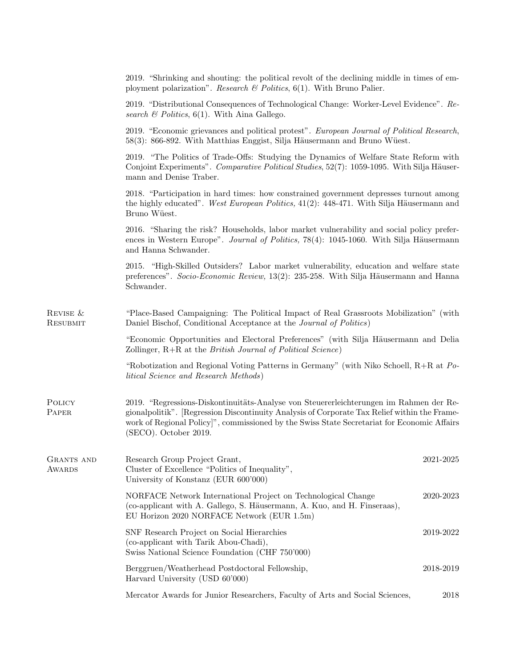|                             | 2019. "Shrinking and shouting: the political revolt of the declining middle in times of em-<br>ployment polarization". Research & Politics, $6(1)$ . With Bruno Palier.                                                                                                                                                      |           |  |
|-----------------------------|------------------------------------------------------------------------------------------------------------------------------------------------------------------------------------------------------------------------------------------------------------------------------------------------------------------------------|-----------|--|
|                             | 2019. "Distributional Consequences of Technological Change: Worker-Level Evidence". Re-<br>search $\mathcal B$ Politics, 6(1). With Aina Gallego.                                                                                                                                                                            |           |  |
|                             | 2019. "Economic grievances and political protest". European Journal of Political Research,<br>58(3): 866-892. With Matthias Enggist, Silja Häusermann and Bruno Wüest.                                                                                                                                                       |           |  |
|                             | 2019. "The Politics of Trade-Offs: Studying the Dynamics of Welfare State Reform with<br>Conjoint Experiments". Comparative Political Studies, 52(7): 1059-1095. With Silja Häuser-<br>mann and Denise Traber.                                                                                                               |           |  |
|                             | 2018. "Participation in hard times: how constrained government depresses turnout among<br>the highly educated". West European Politics, 41(2): 448-471. With Silja Häusermann and<br>Bruno Wüest.                                                                                                                            |           |  |
|                             | 2016. "Sharing the risk? Households, labor market vulnerability and social policy prefer-<br>ences in Western Europe". Journal of Politics, 78(4): 1045-1060. With Silja Häusermann<br>and Hanna Schwander.                                                                                                                  |           |  |
|                             | 2015. "High-Skilled Outsiders? Labor market vulnerability, education and welfare state<br>preferences". Socio-Economic Review, 13(2): 235-258. With Silja Häusermann and Hanna<br>Schwander.                                                                                                                                 |           |  |
| REVISE &<br><b>RESUBMIT</b> | "Place-Based Campaigning: The Political Impact of Real Grassroots Mobilization" (with<br>Daniel Bischof, Conditional Acceptance at the Journal of Politics)                                                                                                                                                                  |           |  |
|                             | "Economic Opportunities and Electoral Preferences" (with Silja Häusermann and Delia<br>Zollinger, R+R at the <i>British Journal of Political Science</i> )                                                                                                                                                                   |           |  |
|                             | "Robotization and Regional Voting Patterns in Germany" (with Niko Schoell, $R+R$ at Po-<br>litical Science and Research Methods)                                                                                                                                                                                             |           |  |
| POLICY<br>PAPER             | 2019. "Regressions-Diskontinuitäts-Analyse von Steuererleichterungen im Rahmen der Re-<br>gionalpolitik". [Regression Discontinuity Analysis of Corporate Tax Relief within the Frame-<br>work of Regional Policy <sup>[11</sup> , commissioned by the Swiss State Secretariat for Economic Affairs<br>(SECO). October 2019. |           |  |
| GRANTS AND<br><b>AWARDS</b> | Research Group Project Grant,<br>Cluster of Excellence "Politics of Inequality",<br>University of Konstanz (EUR 600'000)                                                                                                                                                                                                     | 2021-2025 |  |
|                             | NORFACE Network International Project on Technological Change<br>(co-applicant with A. Gallego, S. Häusermann, A. Kuo, and H. Finseraas),<br>EU Horizon 2020 NORFACE Network (EUR 1.5m)                                                                                                                                      | 2020-2023 |  |
|                             | SNF Research Project on Social Hierarchies<br>(co-applicant with Tarik Abou-Chadi),<br>Swiss National Science Foundation (CHF 750'000)                                                                                                                                                                                       | 2019-2022 |  |
|                             | Berggruen/Weatherhead Postdoctoral Fellowship,<br>Harvard University (USD 60'000)                                                                                                                                                                                                                                            | 2018-2019 |  |
|                             | Mercator Awards for Junior Researchers, Faculty of Arts and Social Sciences,                                                                                                                                                                                                                                                 | 2018      |  |